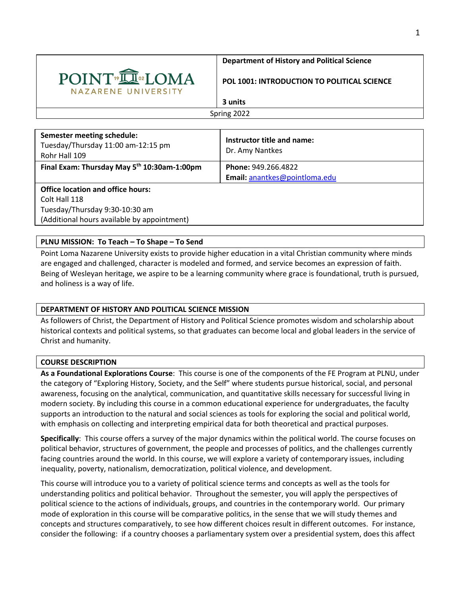

### **Department of History and Political Science**

#### **POL 1001: INTRODUCTION TO POLITICAL SCIENCE**

# **3 units**

Spring 2022

| <b>Semester meeting schedule:</b><br>Tuesday/Thursday 11:00 am-12:15 pm<br>Rohr Hall 109 | Instructor title and name:<br>Dr. Amy Nantkes |
|------------------------------------------------------------------------------------------|-----------------------------------------------|
| Final Exam: Thursday May 5 <sup>th</sup> 10:30am-1:00pm                                  | <b>Phone: 949.266.4822</b>                    |
|                                                                                          | Email: anantkes@pointloma.edu                 |
| <b>Office location and office hours:</b>                                                 |                                               |
| Colt Hall 118                                                                            |                                               |
| Tuesday/Thursday 9:30-10:30 am                                                           |                                               |
| (Additional hours available by appointment)                                              |                                               |
|                                                                                          |                                               |

## **PLNU MISSION: To Teach – To Shape – To Send**

Point Loma Nazarene University exists to provide higher education in a vital Christian community where minds are engaged and challenged, character is modeled and formed, and service becomes an expression of faith. Being of Wesleyan heritage, we aspire to be a learning community where grace is foundational, truth is pursued, and holiness is a way of life.

## **DEPARTMENT OF HISTORY AND POLITICAL SCIENCE MISSION**

As followers of Christ, the Department of History and Political Science promotes wisdom and scholarship about historical contexts and political systems, so that graduates can become local and global leaders in the service of Christ and humanity.

### **COURSE DESCRIPTION**

**As a Foundational Explorations Course**: This course is one of the components of the FE Program at PLNU, under the category of "Exploring History, Society, and the Self" where students pursue historical, social, and personal awareness, focusing on the analytical, communication, and quantitative skills necessary for successful living in modern society. By including this course in a common educational experience for undergraduates, the faculty supports an introduction to the natural and social sciences as tools for exploring the social and political world, with emphasis on collecting and interpreting empirical data for both theoretical and practical purposes.

**Specifically**: This course offers a survey of the major dynamics within the political world. The course focuses on political behavior, structures of government, the people and processes of politics, and the challenges currently facing countries around the world. In this course, we will explore a variety of contemporary issues, including inequality, poverty, nationalism, democratization, political violence, and development.

This course will introduce you to a variety of political science terms and concepts as well as the tools for understanding politics and political behavior. Throughout the semester, you will apply the perspectives of political science to the actions of individuals, groups, and countries in the contemporary world. Our primary mode of exploration in this course will be comparative politics, in the sense that we will study themes and concepts and structures comparatively, to see how different choices result in different outcomes. For instance, consider the following: if a country chooses a parliamentary system over a presidential system, does this affect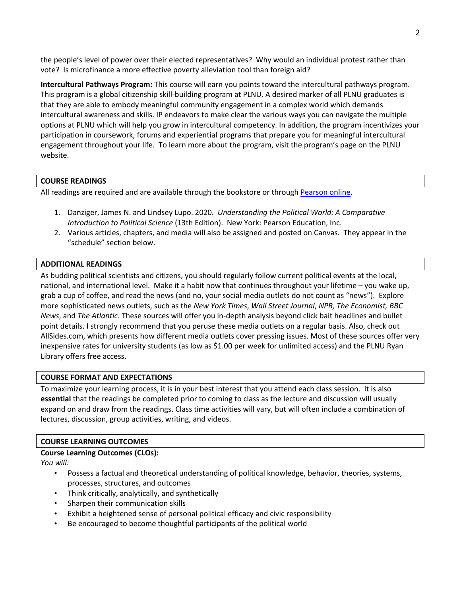the people's level of power over their elected representatives? Why would an individual protest rather than vote? Is microfinance a more effective poverty alleviation tool than foreign aid?

**Intercultural Pathways Program:** This course will earn you points toward the intercultural pathways program. This program is a global citizenship skill-building program at PLNU. A desired marker of all PLNU graduates is that they are able to embody meaningful community engagement in a complex world which demands intercultural awareness and skills. IP endeavors to make clear the various ways you can navigate the multiple options at PLNU which will help you grow in intercultural competency. In addition, the program incentivizes your participation in coursework, forums and experiential programs that prepare you for meaningful intercultural engagement throughout your life. To learn more about the program, visit the program's page on the PLNU website.

## **COURSE READINGS**

All readings are required and are available through the bookstore or through Pearson online.

- 1. Danziger, James N. and Lindsey Lupo. 2020. *Understanding the Political World: A Comparative Introduction to Political Science* (13th Edition). New York: Pearson Education, Inc.
- 2. Various articles, chapters, and media will also be assigned and posted on Canvas. They appear in the "schedule" section below.

## **ADDITIONAL READINGS**

As budding political scientists and citizens, you should regularly follow current political events at the local, national, and international level. Make it a habit now that continues throughout your lifetime – you wake up, grab a cup of coffee, and read the news (and no, your social media outlets do not count as "news"). Explore more sophisticated news outlets, such as the *New York Times*, *Wall Street Journal*, *NPR, The Economist, BBC News*, and *The Atlantic*. These sources will offer you in-depth analysis beyond click bait headlines and bullet point details. I strongly recommend that you peruse these media outlets on a regular basis. Also, check out AllSides.com, which presents how different media outlets cover pressing issues. Most of these sources offer very inexpensive rates for university students (as low as \$1.00 per week for unlimited access) and the PLNU Ryan Library offers free access.

## **COURSE FORMAT AND EXPECTATIONS**

To maximize your learning process, it is in your best interest that you attend each class session. It is also **essential** that the readings be completed prior to coming to class as the lecture and discussion will usually expand on and draw from the readings. Class time activities will vary, but will often include a combination of lectures, discussion, group activities, writing, and videos.

### **COURSE LEARNING OUTCOMES**

### **Course Learning Outcomes (CLOs):**

*You will:* 

- Possess a factual and theoretical understanding of political knowledge, behavior, theories, systems, processes, structures, and outcomes
- Think critically, analytically, and synthetically
- Sharpen their communication skills
- Exhibit a heightened sense of personal political efficacy and civic responsibility
- Be encouraged to become thoughtful participants of the political world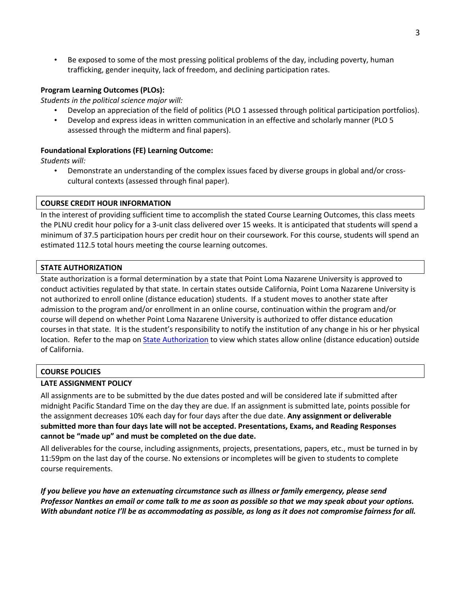• Be exposed to some of the most pressing political problems of the day, including poverty, human trafficking, gender inequity, lack of freedom, and declining participation rates.

## **Program Learning Outcomes (PLOs):**

*Students in the political science major will:* 

- Develop an appreciation of the field of politics (PLO 1 assessed through political participation portfolios).
- Develop and express ideas in written communication in an effective and scholarly manner (PLO 5 assessed through the midterm and final papers).

## **Foundational Explorations (FE) Learning Outcome:**

*Students will:* 

• Demonstrate an understanding of the complex issues faced by diverse groups in global and/or crosscultural contexts (assessed through final paper).

### **COURSE CREDIT HOUR INFORMATION**

In the interest of providing sufficient time to accomplish the stated Course Learning Outcomes, this class meets the PLNU credit hour policy for a 3-unit class delivered over 15 weeks. It is anticipated that students will spend a minimum of 37.5 participation hours per credit hour on their coursework. For this course, students will spend an estimated 112.5 total hours meeting the course learning outcomes.

### **STATE AUTHORIZATION**

State authorization is a formal determination by a state that Point Loma Nazarene University is approved to conduct activities regulated by that state. In certain states outside California, Point Loma Nazarene University is not authorized to enroll online (distance education) students. If a student moves to another state after admission to the program and/or enrollment in an online course, continuation within the program and/or course will depend on whether Point Loma Nazarene University is authorized to offer distance education courses in that state. It is the student's responsibility to notify the institution of any change in his or her physical location. Refer to the map on State Authorization to view which states allow online (distance education) outside of California.

### **COURSE POLICIES**

### **LATE ASSIGNMENT POLICY**

All assignments are to be submitted by the due dates posted and will be considered late if submitted after midnight Pacific Standard Time on the day they are due. If an assignment is submitted late, points possible for the assignment decreases 10% each day for four days after the due date. **Any assignment or deliverable submitted more than four days late will not be accepted. Presentations, Exams, and Reading Responses cannot be "made up" and must be completed on the due date.**

All deliverables for the course, including assignments, projects, presentations, papers, etc., must be turned in by 11:59pm on the last day of the course. No extensions or incompletes will be given to students to complete course requirements.

*If you believe you have an extenuating circumstance such as illness or family emergency, please send Professor Nantkes an email or come talk to me as soon as possible so that we may speak about your options. With abundant notice I'll be as accommodating as possible, as long as it does not compromise fairness for all.*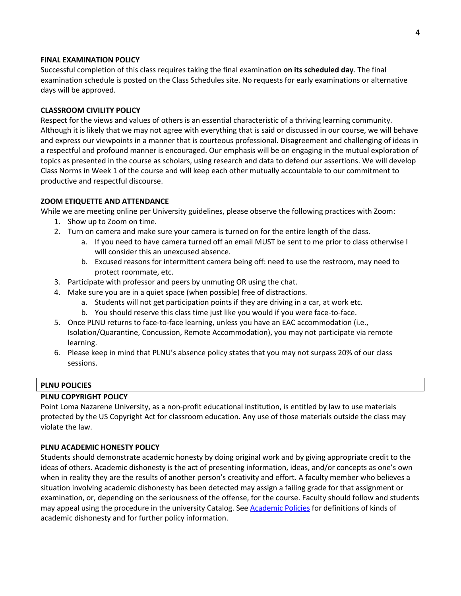### **FINAL EXAMINATION POLICY**

Successful completion of this class requires taking the final examination **on its scheduled day**. The final examination schedule is posted on the Class Schedules site. No requests for early examinations or alternative days will be approved.

### **CLASSROOM CIVILITY POLICY**

Respect for the views and values of others is an essential characteristic of a thriving learning community. Although it is likely that we may not agree with everything that is said or discussed in our course, we will behave and express our viewpoints in a manner that is courteous professional. Disagreement and challenging of ideas in a respectful and profound manner is encouraged. Our emphasis will be on engaging in the mutual exploration of topics as presented in the course as scholars, using research and data to defend our assertions. We will develop Class Norms in Week 1 of the course and will keep each other mutually accountable to our commitment to productive and respectful discourse.

### **ZOOM ETIQUETTE AND ATTENDANCE**

While we are meeting online per University guidelines, please observe the following practices with Zoom:

- 1. Show up to Zoom on time.
- 2. Turn on camera and make sure your camera is turned on for the entire length of the class.
	- a. If you need to have camera turned off an email MUST be sent to me prior to class otherwise I will consider this an unexcused absence.
	- b. Excused reasons for intermittent camera being off: need to use the restroom, may need to protect roommate, etc.
- 3. Participate with professor and peers by unmuting OR using the chat.
- 4. Make sure you are in a quiet space (when possible) free of distractions.
	- a. Students will not get participation points if they are driving in a car, at work etc.
	- b. You should reserve this class time just like you would if you were face-to-face.
- 5. Once PLNU returns to face-to-face learning, unless you have an EAC accommodation (i.e., Isolation/Quarantine, Concussion, Remote Accommodation), you may not participate via remote learning.
- 6. Please keep in mind that PLNU's absence policy states that you may not surpass 20% of our class sessions.

## **PLNU POLICIES**

### **PLNU COPYRIGHT POLICY**

Point Loma Nazarene University, as a non-profit educational institution, is entitled by law to use materials protected by the US Copyright Act for classroom education. Any use of those materials outside the class may violate the law.

### **PLNU ACADEMIC HONESTY POLICY**

Students should demonstrate academic honesty by doing original work and by giving appropriate credit to the ideas of others. Academic dishonesty is the act of presenting information, ideas, and/or concepts as one's own when in reality they are the results of another person's creativity and effort. A faculty member who believes a situation involving academic dishonesty has been detected may assign a failing grade for that assignment or examination, or, depending on the seriousness of the offense, for the course. Faculty should follow and students may appeal using the procedure in the university Catalog. See Academic Policies for definitions of kinds of academic dishonesty and for further policy information.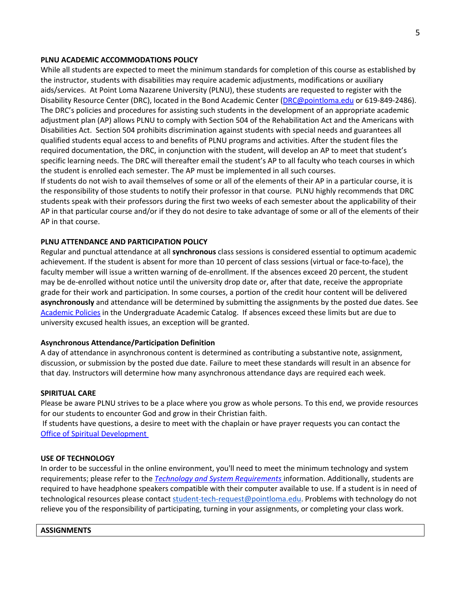#### **PLNU ACADEMIC ACCOMMODATIONS POLICY**

While all students are expected to meet the minimum standards for completion of this course as established by the instructor, students with disabilities may require academic adjustments, modifications or auxiliary aids/services. At Point Loma Nazarene University (PLNU), these students are requested to register with the Disability Resource Center (DRC), located in the Bond Academic Center (DRC@pointloma.edu or 619-849-2486). The DRC's policies and procedures for assisting such students in the development of an appropriate academic adjustment plan (AP) allows PLNU to comply with Section 504 of the Rehabilitation Act and the Americans with Disabilities Act. Section 504 prohibits discrimination against students with special needs and guarantees all qualified students equal access to and benefits of PLNU programs and activities. After the student files the required documentation, the DRC, in conjunction with the student, will develop an AP to meet that student's specific learning needs. The DRC will thereafter email the student's AP to all faculty who teach courses in which the student is enrolled each semester. The AP must be implemented in all such courses.

If students do not wish to avail themselves of some or all of the elements of their AP in a particular course, it is the responsibility of those students to notify their professor in that course. PLNU highly recommends that DRC students speak with their professors during the first two weeks of each semester about the applicability of their AP in that particular course and/or if they do not desire to take advantage of some or all of the elements of their AP in that course.

### **PLNU ATTENDANCE AND PARTICIPATION POLICY**

Regular and punctual attendance at all **synchronous** class sessions is considered essential to optimum academic achievement. If the student is absent for more than 10 percent of class sessions (virtual or face-to-face), the faculty member will issue a written warning of de-enrollment. If the absences exceed 20 percent, the student may be de-enrolled without notice until the university drop date or, after that date, receive the appropriate grade for their work and participation. In some courses, a portion of the credit hour content will be delivered **asynchronously** and attendance will be determined by submitting the assignments by the posted due dates. See Academic Policies in the Undergraduate Academic Catalog. If absences exceed these limits but are due to university excused health issues, an exception will be granted.

### **Asynchronous Attendance/Participation Definition**

A day of attendance in asynchronous content is determined as contributing a substantive note, assignment, discussion, or submission by the posted due date. Failure to meet these standards will result in an absence for that day. Instructors will determine how many asynchronous attendance days are required each week.

#### **SPIRITUAL CARE**

Please be aware PLNU strives to be a place where you grow as whole persons. To this end, we provide resources for our students to encounter God and grow in their Christian faith.

If students have questions, a desire to meet with the chaplain or have prayer requests you can contact the Office of Spiritual Development

#### **USE OF TECHNOLOGY**

In order to be successful in the online environment, you'll need to meet the minimum technology and system requirements; please refer to the *Technology and System Requirements* information. Additionally, students are required to have headphone speakers compatible with their computer available to use. If a student is in need of technological resources please contact student-tech-request@pointloma.edu. Problems with technology do not relieve you of the responsibility of participating, turning in your assignments, or completing your class work.

#### **ASSIGNMENTS**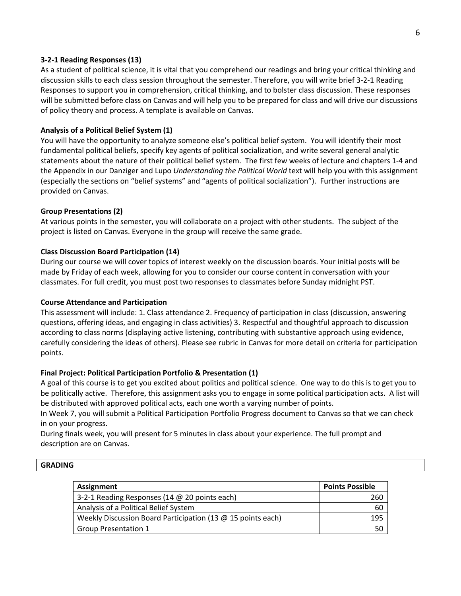## **3-2-1 Reading Responses (13)**

As a student of political science, it is vital that you comprehend our readings and bring your critical thinking and discussion skills to each class session throughout the semester. Therefore, you will write brief 3-2-1 Reading Responses to support you in comprehension, critical thinking, and to bolster class discussion. These responses will be submitted before class on Canvas and will help you to be prepared for class and will drive our discussions of policy theory and process. A template is available on Canvas.

### **Analysis of a Political Belief System (1)**

You will have the opportunity to analyze someone else's political belief system. You will identify their most fundamental political beliefs, specify key agents of political socialization, and write several general analytic statements about the nature of their political belief system. The first few weeks of lecture and chapters 1-4 and the Appendix in our Danziger and Lupo *Understanding the Political World* text will help you with this assignment (especially the sections on "belief systems" and "agents of political socialization"). Further instructions are provided on Canvas.

### **Group Presentations (2)**

At various points in the semester, you will collaborate on a project with other students. The subject of the project is listed on Canvas. Everyone in the group will receive the same grade.

### **Class Discussion Board Participation (14)**

During our course we will cover topics of interest weekly on the discussion boards. Your initial posts will be made by Friday of each week, allowing for you to consider our course content in conversation with your classmates. For full credit, you must post two responses to classmates before Sunday midnight PST.

### **Course Attendance and Participation**

This assessment will include: 1. Class attendance 2. Frequency of participation in class (discussion, answering questions, offering ideas, and engaging in class activities) 3. Respectful and thoughtful approach to discussion according to class norms (displaying active listening, contributing with substantive approach using evidence, carefully considering the ideas of others). Please see rubric in Canvas for more detail on criteria for participation points.

### **Final Project: Political Participation Portfolio & Presentation (1)**

A goal of this course is to get you excited about politics and political science. One way to do this is to get you to be politically active. Therefore, this assignment asks you to engage in some political participation acts. A list will be distributed with approved political acts, each one worth a varying number of points.

In Week 7, you will submit a Political Participation Portfolio Progress document to Canvas so that we can check in on your progress.

During finals week, you will present for 5 minutes in class about your experience. The full prompt and description are on Canvas.

### **GRADING**

| Assignment                                                    | <b>Points Possible</b> |
|---------------------------------------------------------------|------------------------|
| 3-2-1 Reading Responses (14 @ 20 points each)                 | 260                    |
| Analysis of a Political Belief System                         | 60                     |
| Weekly Discussion Board Participation (13 $@$ 15 points each) | 195                    |
| <b>Group Presentation 1</b>                                   | 50                     |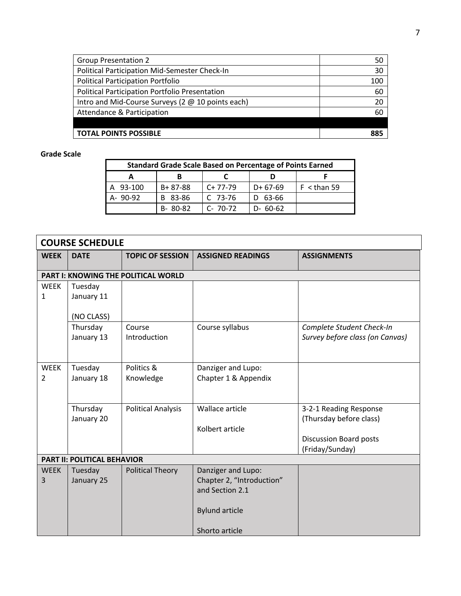| <b>Group Presentation 2</b>                       | 50  |
|---------------------------------------------------|-----|
| Political Participation Mid-Semester Check-In     | 30  |
| <b>Political Participation Portfolio</b>          | 100 |
| Political Participation Portfolio Presentation    | 60  |
| Intro and Mid-Course Surveys (2 @ 10 points each) | 20  |
| Attendance & Participation                        | 60  |
|                                                   |     |
| <b>TOTAL POINTS POSSIBLE</b>                      | 885 |

# **Grade Scale**

| <b>Standard Grade Scale Based on Percentage of Points Earned</b> |               |             |           |               |
|------------------------------------------------------------------|---------------|-------------|-----------|---------------|
|                                                                  |               |             |           |               |
| A 93-100                                                         | $B + 87 - 88$ | $C+77-79$   | $D+67-69$ | $F <$ than 59 |
| A-90-92                                                          | B 83-86       | $C$ 73-76   | $D$ 63-66 |               |
|                                                                  | $B - 80 - 82$ | $C - 70-72$ | D- 60-62  |               |

| <b>COURSE SCHEDULE</b> |                                    |                                     |                           |                                 |
|------------------------|------------------------------------|-------------------------------------|---------------------------|---------------------------------|
| <b>WEEK</b>            | <b>DATE</b>                        | <b>TOPIC OF SESSION</b>             | <b>ASSIGNED READINGS</b>  | <b>ASSIGNMENTS</b>              |
|                        |                                    |                                     |                           |                                 |
|                        |                                    | PART I: KNOWING THE POLITICAL WORLD |                           |                                 |
| <b>WEEK</b>            | Tuesday                            |                                     |                           |                                 |
| $\mathbf{1}$           | January 11                         |                                     |                           |                                 |
|                        |                                    |                                     |                           |                                 |
|                        | (NO CLASS)                         |                                     |                           |                                 |
|                        | Thursday                           | Course                              | Course syllabus           | Complete Student Check-In       |
|                        | January 13                         | Introduction                        |                           | Survey before class (on Canvas) |
|                        |                                    |                                     |                           |                                 |
|                        |                                    |                                     |                           |                                 |
| <b>WEEK</b>            | Tuesday                            | Politics &                          | Danziger and Lupo:        |                                 |
| 2                      | January 18                         | Knowledge                           | Chapter 1 & Appendix      |                                 |
|                        |                                    |                                     |                           |                                 |
|                        |                                    |                                     |                           |                                 |
|                        | Thursday                           | <b>Political Analysis</b>           | Wallace article           | 3-2-1 Reading Response          |
|                        | January 20                         |                                     |                           | (Thursday before class)         |
|                        |                                    |                                     | Kolbert article           |                                 |
|                        |                                    |                                     |                           | <b>Discussion Board posts</b>   |
|                        |                                    |                                     |                           | (Friday/Sunday)                 |
|                        | <b>PART II: POLITICAL BEHAVIOR</b> |                                     |                           |                                 |
| <b>WEEK</b>            | Tuesday                            | <b>Political Theory</b>             | Danziger and Lupo:        |                                 |
| 3                      | January 25                         |                                     | Chapter 2, "Introduction" |                                 |
|                        |                                    |                                     | and Section 2.1           |                                 |
|                        |                                    |                                     |                           |                                 |
|                        |                                    |                                     | <b>Bylund article</b>     |                                 |
|                        |                                    |                                     |                           |                                 |
|                        |                                    |                                     | Shorto article            |                                 |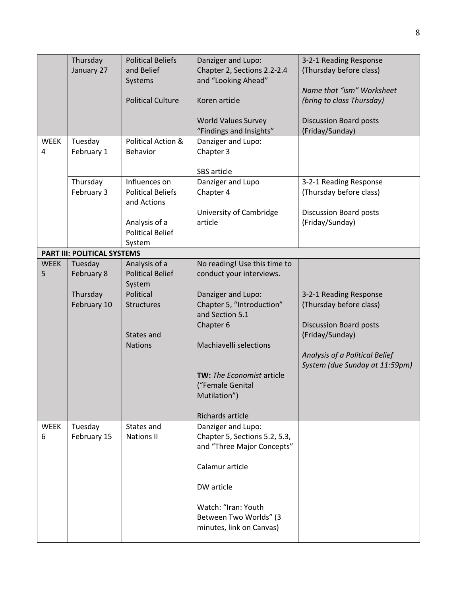|                  | Thursday<br>January 27             | <b>Political Beliefs</b><br>and Belief<br>Systems<br><b>Political Culture</b>                                  | Danziger and Lupo:<br>Chapter 2, Sections 2.2-2.4<br>and "Looking Ahead"<br>Koren article<br><b>World Values Survey</b><br>"Findings and Insights"                                                    | 3-2-1 Reading Response<br>(Thursday before class)<br>Name that "ism" Worksheet<br>(bring to class Thursday)<br><b>Discussion Board posts</b><br>(Friday/Sunday)           |
|------------------|------------------------------------|----------------------------------------------------------------------------------------------------------------|-------------------------------------------------------------------------------------------------------------------------------------------------------------------------------------------------------|---------------------------------------------------------------------------------------------------------------------------------------------------------------------------|
| <b>WEEK</b><br>4 | Tuesday<br>February 1              | Political Action &<br><b>Behavior</b>                                                                          | Danziger and Lupo:<br>Chapter 3<br>SBS article                                                                                                                                                        |                                                                                                                                                                           |
|                  | Thursday<br>February 3             | Influences on<br><b>Political Beliefs</b><br>and Actions<br>Analysis of a<br><b>Political Belief</b><br>System | Danziger and Lupo<br>Chapter 4<br>University of Cambridge<br>article                                                                                                                                  | 3-2-1 Reading Response<br>(Thursday before class)<br><b>Discussion Board posts</b><br>(Friday/Sunday)                                                                     |
|                  | <b>PART III: POLITICAL SYSTEMS</b> |                                                                                                                |                                                                                                                                                                                                       |                                                                                                                                                                           |
| <b>WEEK</b><br>5 | Tuesday<br>February 8              | Analysis of a<br><b>Political Belief</b><br>System                                                             | No reading! Use this time to<br>conduct your interviews.                                                                                                                                              |                                                                                                                                                                           |
|                  | Thursday<br>February 10            | Political<br><b>Structures</b><br>States and<br><b>Nations</b>                                                 | Danziger and Lupo:<br>Chapter 5, "Introduction"<br>and Section 5.1<br>Chapter 6<br>Machiavelli selections<br><b>TW:</b> The Economist article<br>("Female Genital<br>Mutilation")<br>Richards article | 3-2-1 Reading Response<br>(Thursday before class)<br><b>Discussion Board posts</b><br>(Friday/Sunday)<br>Analysis of a Political Belief<br>System (due Sunday at 11:59pm) |
| <b>WEEK</b><br>6 | Tuesday<br>February 15             | States and<br><b>Nations II</b>                                                                                | Danziger and Lupo:<br>Chapter 5, Sections 5.2, 5.3,<br>and "Three Major Concepts"<br>Calamur article<br>DW article<br>Watch: "Iran: Youth<br>Between Two Worlds" (3<br>minutes, link on Canvas)       |                                                                                                                                                                           |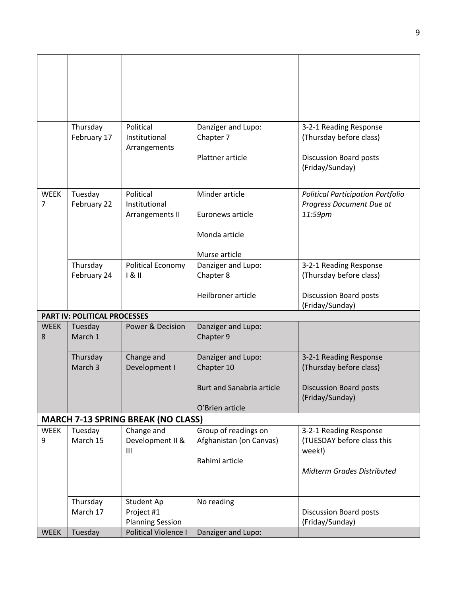|                  | Thursday                                  | Political                                       | Danziger and Lupo:               | 3-2-1 Reading Response                            |  |  |
|------------------|-------------------------------------------|-------------------------------------------------|----------------------------------|---------------------------------------------------|--|--|
|                  | February 17                               | Institutional<br>Arrangements                   | Chapter 7                        | (Thursday before class)                           |  |  |
|                  |                                           |                                                 | Plattner article                 | Discussion Board posts                            |  |  |
|                  |                                           |                                                 |                                  | (Friday/Sunday)                                   |  |  |
| <b>WEEK</b>      | Tuesday                                   | Political                                       | Minder article                   | <b>Political Participation Portfolio</b>          |  |  |
| 7                | February 22                               | Institutional<br>Arrangements II                | Euronews article                 | Progress Document Due at<br>11:59pm               |  |  |
|                  |                                           |                                                 |                                  |                                                   |  |  |
|                  |                                           |                                                 | Monda article                    |                                                   |  |  |
|                  |                                           |                                                 | Murse article                    |                                                   |  |  |
|                  | Thursday<br>February 24                   | <b>Political Economy</b><br>181                 | Danziger and Lupo:<br>Chapter 8  | 3-2-1 Reading Response<br>(Thursday before class) |  |  |
|                  |                                           |                                                 | Heilbroner article               |                                                   |  |  |
|                  |                                           |                                                 |                                  | <b>Discussion Board posts</b><br>(Friday/Sunday)  |  |  |
|                  | <b>PART IV: POLITICAL PROCESSES</b>       |                                                 |                                  |                                                   |  |  |
| <b>WEEK</b><br>8 | Tuesday<br>March 1                        | Power & Decision                                | Danziger and Lupo:<br>Chapter 9  |                                                   |  |  |
|                  |                                           |                                                 |                                  |                                                   |  |  |
|                  | Thursday<br>March 3                       | Change and<br>Development I                     | Danziger and Lupo:<br>Chapter 10 | 3-2-1 Reading Response<br>(Thursday before class) |  |  |
|                  |                                           |                                                 |                                  |                                                   |  |  |
|                  |                                           |                                                 | <b>Burt and Sanabria article</b> | <b>Discussion Board posts</b><br>(Friday/Sunday)  |  |  |
|                  |                                           |                                                 | O'Brien article                  |                                                   |  |  |
|                  | <b>MARCH 7-13 SPRING BREAK (NO CLASS)</b> |                                                 |                                  |                                                   |  |  |
| <b>WEEK</b>      | Tuesday                                   | Change and                                      | Group of readings on             | 3-2-1 Reading Response                            |  |  |
| 9                | March 15                                  | Development II &<br>$\mathbf{III}$              | Afghanistan (on Canvas)          | (TUESDAY before class this<br>week!)              |  |  |
|                  |                                           |                                                 | Rahimi article                   |                                                   |  |  |
|                  |                                           |                                                 |                                  | <b>Midterm Grades Distributed</b>                 |  |  |
|                  |                                           |                                                 |                                  |                                                   |  |  |
|                  | Thursday                                  | Student Ap                                      | No reading                       |                                                   |  |  |
|                  | March 17                                  | Project #1                                      |                                  | Discussion Board posts                            |  |  |
|                  |                                           | <b>Planning Session</b><br>Political Violence I |                                  | (Friday/Sunday)                                   |  |  |
| <b>WEEK</b>      | Tuesday                                   |                                                 | Danziger and Lupo:               |                                                   |  |  |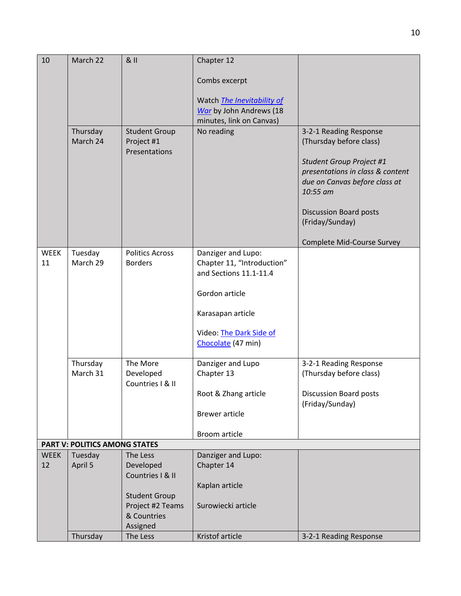| 10          | March 22                             | 811                                | Chapter 12                                           |                                                   |
|-------------|--------------------------------------|------------------------------------|------------------------------------------------------|---------------------------------------------------|
|             |                                      |                                    | Combs excerpt                                        |                                                   |
|             |                                      |                                    | Watch The Inevitability of                           |                                                   |
|             |                                      |                                    | War by John Andrews (18                              |                                                   |
|             |                                      |                                    | minutes, link on Canvas)                             |                                                   |
|             | Thursday<br>March 24                 | <b>Student Group</b><br>Project #1 | No reading                                           | 3-2-1 Reading Response<br>(Thursday before class) |
|             |                                      | Presentations                      |                                                      | Student Group Project #1                          |
|             |                                      |                                    |                                                      | presentations in class & content                  |
|             |                                      |                                    |                                                      | due on Canvas before class at                     |
|             |                                      |                                    |                                                      | 10:55 am                                          |
|             |                                      |                                    |                                                      | <b>Discussion Board posts</b>                     |
|             |                                      |                                    |                                                      | (Friday/Sunday)                                   |
|             |                                      |                                    |                                                      | Complete Mid-Course Survey                        |
| <b>WEEK</b> | Tuesday                              | <b>Politics Across</b>             | Danziger and Lupo:                                   |                                                   |
| 11          | March 29                             | <b>Borders</b>                     | Chapter 11, "Introduction"<br>and Sections 11.1-11.4 |                                                   |
|             |                                      |                                    |                                                      |                                                   |
|             |                                      |                                    | Gordon article                                       |                                                   |
|             |                                      |                                    | Karasapan article                                    |                                                   |
|             |                                      |                                    | Video: The Dark Side of                              |                                                   |
|             |                                      |                                    | Chocolate (47 min)                                   |                                                   |
|             | Thursday                             | The More                           | Danziger and Lupo                                    | 3-2-1 Reading Response                            |
|             | March 31                             | Developed                          | Chapter 13                                           | (Thursday before class)                           |
|             |                                      | Countries   & II                   |                                                      |                                                   |
|             |                                      |                                    | Root & Zhang article                                 | <b>Discussion Board posts</b>                     |
|             |                                      |                                    | <b>Brewer article</b>                                | (Friday/Sunday)                                   |
|             |                                      |                                    |                                                      |                                                   |
|             |                                      |                                    | Broom article                                        |                                                   |
|             | <b>PART V: POLITICS AMONG STATES</b> |                                    |                                                      |                                                   |
| <b>WEEK</b> | Tuesday                              | The Less                           | Danziger and Lupo:                                   |                                                   |
| 12          | April 5                              | Developed<br>Countries I & II      | Chapter 14                                           |                                                   |
|             |                                      |                                    | Kaplan article                                       |                                                   |
|             |                                      | <b>Student Group</b>               |                                                      |                                                   |
|             |                                      | Project #2 Teams                   | Surowiecki article                                   |                                                   |
|             |                                      | & Countries                        |                                                      |                                                   |
|             |                                      | Assigned                           |                                                      |                                                   |
|             | Thursday                             | The Less                           | Kristof article                                      | 3-2-1 Reading Response                            |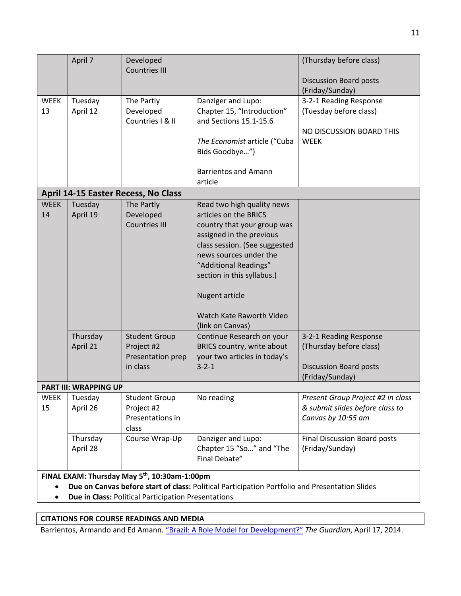|                                                                                                                                                             | April 7               | Developed<br><b>Countries III</b>                                   |                                                                                                                                                                                                                                                                                                           | (Thursday before class)<br><b>Discussion Board posts</b>                                              |
|-------------------------------------------------------------------------------------------------------------------------------------------------------------|-----------------------|---------------------------------------------------------------------|-----------------------------------------------------------------------------------------------------------------------------------------------------------------------------------------------------------------------------------------------------------------------------------------------------------|-------------------------------------------------------------------------------------------------------|
|                                                                                                                                                             |                       |                                                                     |                                                                                                                                                                                                                                                                                                           | (Friday/Sunday)                                                                                       |
| <b>WEEK</b><br>13                                                                                                                                           | Tuesday<br>April 12   | The Partly<br>Developed<br>Countries I & II                         | Danziger and Lupo:<br>Chapter 15, "Introduction"<br>and Sections 15.1-15.6<br>The Economist article ("Cuba<br>Bids Goodbye")<br><b>Barrientos and Amann</b>                                                                                                                                               | 3-2-1 Reading Response<br>(Tuesday before class)<br>NO DISCUSSION BOARD THIS<br><b>WEEK</b>           |
|                                                                                                                                                             |                       |                                                                     | article                                                                                                                                                                                                                                                                                                   |                                                                                                       |
|                                                                                                                                                             |                       | <b>April 14-15 Easter Recess, No Class</b>                          |                                                                                                                                                                                                                                                                                                           |                                                                                                       |
| <b>WEEK</b><br>14                                                                                                                                           | Tuesday<br>April 19   | The Partly<br>Developed<br><b>Countries III</b>                     | Read two high quality news<br>articles on the BRICS<br>country that your group was<br>assigned in the previous<br>class session. (See suggested<br>news sources under the<br>"Additional Readings"<br>section in this syllabus.)<br><b>Nugent article</b><br>Watch Kate Raworth Video<br>(link on Canvas) |                                                                                                       |
|                                                                                                                                                             | Thursday<br>April 21  | <b>Student Group</b><br>Project #2<br>Presentation prep<br>in class | Continue Research on your<br>BRICS country, write about<br>your two articles in today's<br>$3 - 2 - 1$                                                                                                                                                                                                    | 3-2-1 Reading Response<br>(Thursday before class)<br><b>Discussion Board posts</b><br>(Friday/Sunday) |
|                                                                                                                                                             | PART III: WRAPPING UP |                                                                     |                                                                                                                                                                                                                                                                                                           |                                                                                                       |
| <b>WEEK</b><br>15                                                                                                                                           | Tuesday<br>April 26   | <b>Student Group</b><br>Project #2<br>Presentations in<br>class     | No reading                                                                                                                                                                                                                                                                                                | Present Group Project #2 in class<br>& submit slides before class to<br>Canvas by 10:55 am            |
|                                                                                                                                                             | Thursday<br>April 28  | Course Wrap-Up                                                      | Danziger and Lupo:<br>Chapter 15 "So" and "The<br>Final Debate"                                                                                                                                                                                                                                           | <b>Final Discussion Board posts</b><br>(Friday/Sunday)                                                |
| FINAL EXAM: Thursday May 5 <sup>th</sup> , 10:30am-1:00pm<br>Due on Canvas before start of class: Political Participation Portfolio and Presentation Slides |                       |                                                                     |                                                                                                                                                                                                                                                                                                           |                                                                                                       |

• **Due in Class:** Political Participation Presentations

## **CITATIONS FOR COURSE READINGS AND MEDIA**

Barrientos, Armando and Ed Amann. "Brazil: A Role Model for Development?" *The Guardian*, April 17, 2014.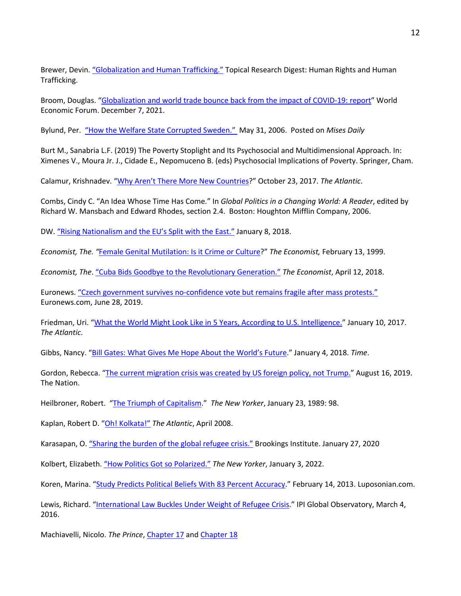Brewer, Devin. "Globalization and Human Trafficking." Topical Research Digest: Human Rights and Human Trafficking.

Broom, Douglas. "Globalization and world trade bounce back from the impact of COVID-19: report" World Economic Forum. December 7, 2021.

Bylund, Per. "How the Welfare State Corrupted Sweden." May 31, 2006. Posted on *Mises Daily*

Burt M., Sanabria L.F. (2019) The Poverty Stoplight and Its Psychosocial and Multidimensional Approach. In: Ximenes V., Moura Jr. J., Cidade E., Nepomuceno B. (eds) Psychosocial Implications of Poverty. Springer, Cham.

Calamur, Krishnadev. "Why Aren't There More New Countries?" October 23, 2017. *The Atlantic*.

Combs, Cindy C. "An Idea Whose Time Has Come." In *Global Politics in a Changing World: A Reader*, edited by Richard W. Mansbach and Edward Rhodes, section 2.4. Boston: Houghton Mifflin Company, 2006.

DW. "Rising Nationalism and the EU's Split with the East." January 8, 2018.

*Economist, The. "*Female Genital Mutilation: Is it Crime or Culture?" *The Economist,* February 13, 1999.

*Economist, The*. "Cuba Bids Goodbye to the Revolutionary Generation." *The Economist*, April 12, 2018.

Euronews. "Czech government survives no-confidence vote but remains fragile after mass protests." Euronews.com, June 28, 2019.

Friedman, Uri. "What the World Might Look Like in 5 Years, According to U.S. Intelligence." January 10, 2017. *The Atlantic*.

Gibbs, Nancy. "Bill Gates: What Gives Me Hope About the World's Future." January 4, 2018. *Time*.

Gordon, Rebecca. "The current migration crisis was created by US foreign policy, not Trump." August 16, 2019. The Nation.

Heilbroner, Robert. "The Triumph of Capitalism." *The New Yorker*, January 23, 1989: 98.

Kaplan, Robert D. "Oh! Kolkata!" *The Atlantic*, April 2008.

Karasapan, O. "Sharing the burden of the global refugee crisis." Brookings Institute. January 27, 2020

Kolbert, Elizabeth. "How Politics Got so Polarized." *The New Yorker*, January 3, 2022.

Koren, Marina. "Study Predicts Political Beliefs With 83 Percent Accuracy." February 14, 2013. Luposonian.com.

Lewis, Richard. "International Law Buckles Under Weight of Refugee Crisis." IPI Global Observatory, March 4, 2016.

Machiavelli, Nicolo. *The Prince*, Chapter 17 and Chapter 18